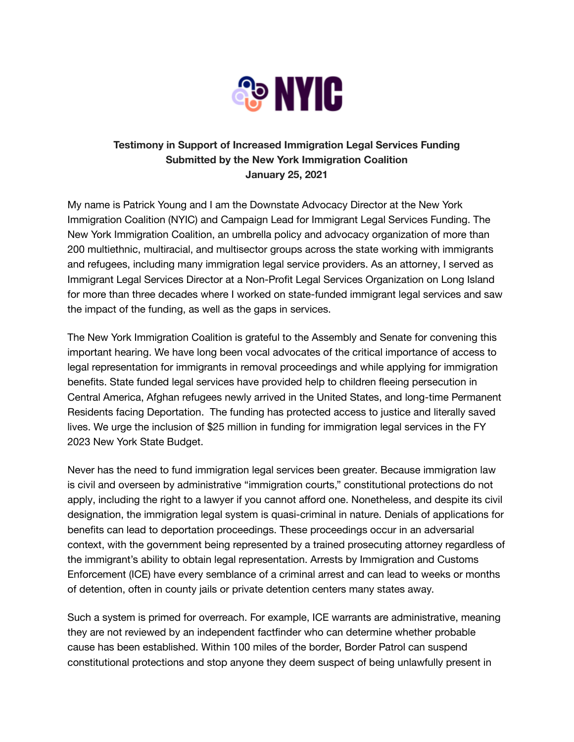

## **Testimony in Support of Increased Immigration Legal Services Funding Submitted by the New York Immigration Coalition January 25, 2021**

My name is Patrick Young and I am the Downstate Advocacy Director at the New York Immigration Coalition (NYIC) and Campaign Lead for Immigrant Legal Services Funding. The New York Immigration Coalition, an umbrella policy and advocacy organization of more than 200 multiethnic, multiracial, and multisector groups across the state working with immigrants and refugees, including many immigration legal service providers. As an attorney, I served as Immigrant Legal Services Director at a Non-Profit Legal Services Organization on Long Island for more than three decades where I worked on state-funded immigrant legal services and saw the impact of the funding, as well as the gaps in services.

The New York Immigration Coalition is grateful to the Assembly and Senate for convening this important hearing. We have long been vocal advocates of the critical importance of access to legal representation for immigrants in removal proceedings and while applying for immigration benefits. State funded legal services have provided help to children fleeing persecution in Central America, Afghan refugees newly arrived in the United States, and long-time Permanent Residents facing Deportation. The funding has protected access to justice and literally saved lives. We urge the inclusion of \$25 million in funding for immigration legal services in the FY 2023 New York State Budget.

Never has the need to fund immigration legal services been greater. Because immigration law is civil and overseen by administrative "immigration courts," constitutional protections do not apply, including the right to a lawyer if you cannot afford one. Nonetheless, and despite its civil designation, the immigration legal system is quasi-criminal in nature. Denials of applications for benefits can lead to deportation proceedings. These proceedings occur in an adversarial context, with the government being represented by a trained prosecuting attorney regardless of the immigrant's ability to obtain legal representation. Arrests by Immigration and Customs Enforcement (ICE) have every semblance of a criminal arrest and can lead to weeks or months of detention, often in county jails or private detention centers many states away.

Such a system is primed for overreach. For example, ICE warrants are administrative, meaning they are not reviewed by an independent factfinder who can determine whether probable cause has been established. Within 100 miles of the border, Border Patrol can suspend constitutional protections and stop anyone they deem suspect of being unlawfully present in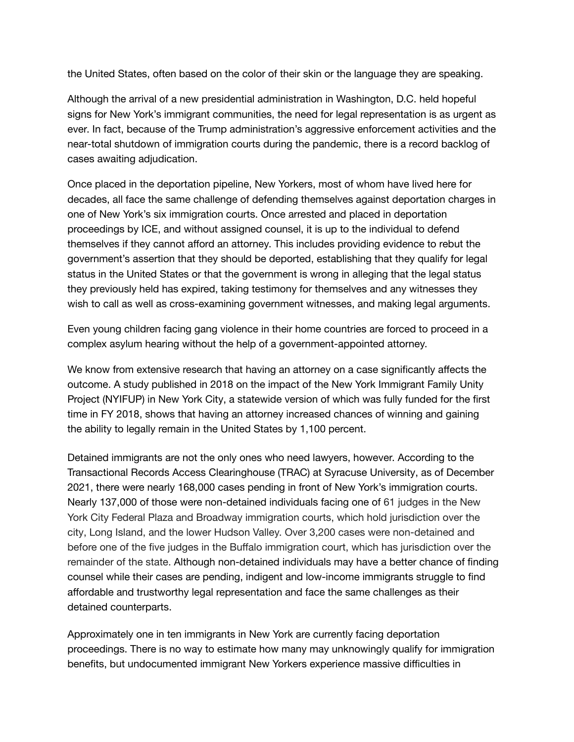the United States, often based on the color of their skin or the language they are speaking.

Although the arrival of a new presidential administration in Washington, D.C. held hopeful signs for New York's immigrant communities, the need for legal representation is as urgent as ever. In fact, because of the Trump administration's aggressive enforcement activities and the near-total shutdown of immigration courts during the pandemic, there is a record backlog of cases awaiting adjudication.

Once placed in the deportation pipeline, New Yorkers, most of whom have lived here for decades, all face the same challenge of defending themselves against deportation charges in one of New York's six immigration courts. Once arrested and placed in deportation proceedings by ICE, and without assigned counsel, it is up to the individual to defend themselves if they cannot afford an attorney. This includes providing evidence to rebut the government's assertion that they should be deported, establishing that they qualify for legal status in the United States or that the government is wrong in alleging that the legal status they previously held has expired, taking testimony for themselves and any witnesses they wish to call as well as cross-examining government witnesses, and making legal arguments.

Even young children facing gang violence in their home countries are forced to proceed in a complex asylum hearing without the help of a government-appointed attorney.

We know from extensive research that having an attorney on a case significantly affects the outcome. A study published in 2018 on the impact of the New York Immigrant Family Unity Project (NYIFUP) in New York City, a statewide version of which was fully funded for the first time in FY 2018, shows that having an attorney increased chances of winning and gaining the ability to legally remain in the United States by 1,100 percent.

Detained immigrants are not the only ones who need lawyers, however. According to the Transactional Records Access Clearinghouse (TRAC) at Syracuse University, as of December 2021, there were nearly 168,000 cases pending in front of New York's immigration courts. Nearly 137,000 of those were non-detained individuals facing one of 61 judges in the New York City Federal Plaza and Broadway immigration courts, which hold jurisdiction over the city, Long Island, and the lower Hudson Valley. Over 3,200 cases were non-detained and before one of the five judges in the Buffalo immigration court, which has jurisdiction over the remainder of the state. Although non-detained individuals may have a better chance of finding counsel while their cases are pending, indigent and low-income immigrants struggle to find affordable and trustworthy legal representation and face the same challenges as their detained counterparts.

Approximately one in ten immigrants in New York are currently facing deportation proceedings. There is no way to estimate how many may unknowingly qualify for immigration benefits, but undocumented immigrant New Yorkers experience massive difficulties in